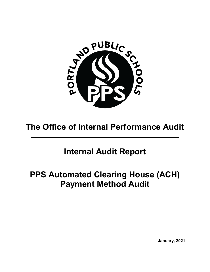

# **The Office of Internal Performance Audit**

## **Internal Audit Report**

# **PPS Automated Clearing House (ACH) Payment Method Audit**

**January, 2021**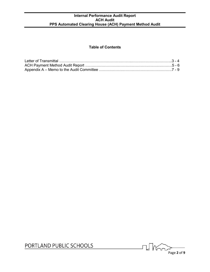#### **Table of Contents**

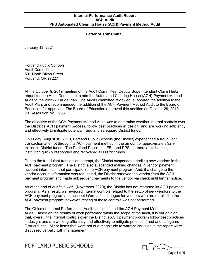#### **Letter of Transmittal**

January 13, 2021

Portland Public Schools Audit Committee 501 North Dixon Street Portland, OR 97227

At the October 9, 2019 meeting of the Audit Committee, Deputy Superintendent Claire Hertz requested the Audit Committee to add the Automated Clearing House (ACH) Payment Method Audit to the 2019-20 Audit Plan. The Audit Committee reviewed, supported the addition to the Audit Plan, and recommended the addition of the ACH Payment Method Audit to the Board of Education for approval. The Board of Education approved this addition on October 29, 2019, via Resolution No. 5988.

The objective of the ACH Payment Method Audit was to determine whether internal controls over the District's ACH payment process, follow best practices in design, and are working efficiently and effectively to mitigate potential fraud and safeguard District funds.

On Friday, August 16, 2019, Portland Public Schools (the District) experienced a fraudulent transaction attempt through its ACH payment method in the amount of approximately \$2.9 million in District funds. The Portland Police, the FBI, and PPS' partners at its banking institution quickly responded and recovered all District funds.

Due to the fraudulent transaction attempt, the District suspended enrolling new vendors in the ACH payment program. The District also suspended making changes in vendor payment account information that participate in the ACH payment program. And, if a change to the vendor account information was requested, the District removed the vendor from the ACH payment program and made subsequent payments to the vendor via check until further notice.

As of the end of our field work (November 2020), the District has not restarted its ACH payment program. As a result, we reviewed internal controls related to the setup of new vendors to the ACH payment program and account information changes for vendors who are enrolled in the ACH payment program; however, testing of these controls was not performed.

The Office of Internal Performance Audit has completed the ACH Payment Method Audit. Based on the results of work performed within the scope of the audit, it is our opinion that, overall, the internal controls over the District's ACH payment program follow best practices in design, and are working efficiently and effectively to mitigate potential fraud and safeguard District funds. Minor items that were not of a magnitude to warrant inclusion in the report were discussed verbally with management.

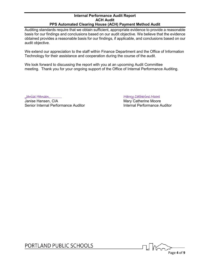Auditing standards require that we obtain sufficient, appropriate evidence to provide a reasonable basis for our findings and conclusions based on our audit objective. We believe that the evidence obtained provides a reasonable basis for our findings, if applicable, and conclusions based on our audit objective.

We extend our appreciation to the staff within Finance Department and the Office of Information Technology for their assistance and cooperation during the course of the audit.

We look forward to discussing the report with you at an upcoming Audit Committee meeting. Thank you for your ongoing support of the Office of Internal Performance Auditing.

Janise Hansen, CIA<br>
Senior Internal Performance Auditor<br>
Mary Catherine Moore<br>
Internal Performance Auditor<br>
Internal Performance Auditor Senior Internal Performance Auditor

\_Janise Hansen\_ Marry Catherine Moore

l Mu Page **4** of **9**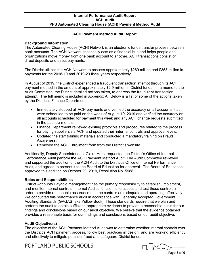#### **ACH Payment Method Audit Report**

#### **Background Information**

The Automated Clearing House (ACH) Network is an electronic funds transfer process between bank accounts. The ACH Network essentially acts as a financial hub and helps people and organizations move money from one bank account to another. ACH transactions consist of direct deposits and direct payments.

The District utilizes the ACH Network to process approximately \$269 million and \$353 million in payments for the 2018-19 and 2019-20 fiscal years respectively.

In August of 2019, the District experienced a fraudulent transaction attempt through its ACH payment method in the amount of approximately \$2.9 million in District funds. In a memo to the Audit Committee, the District detailed actions taken, to address the fraudulent transaction attempt. The full memo is included in Appendix A. Below is a list of some of the actions taken by the District's Finance Department:

- Immediately stopped all ACH payments and verified the accuracy on all accounts that were scheduled to be paid on the week of August 19, 2019 and verified the accuracy on all accounts scheduled for payment this week and any ACH change requests submitted in the past six months.
- Finance Department reviewed existing protocols and procedures related to the process for paying suppliers via ACH and updated their internal controls and approval levels.
- Updated the staff training materials and conducted a mandatory training on Fraud Awareness.
- Removed the ACH Enrollment form from the District's website.

Additionally, Deputy Superintendent Claire Hertz requested the District's Office of Internal Performance Audit perform the ACH Payment Method Audit. The Audit Committee reviewed and supported the addition of the ACH Audit to the District's Office of Internal Performance Audit, and agreed to present it to the Board of Education for approval. The Board of Education approved this addition on October 29, 2019, Resolution No. 5988.

#### **Roles and Responsibilities**

District Accounts Payable management has the primary responsibility to establish, implement, and monitor internal controls. Internal Audit's function is to assess and test those controls in order to provide reasonable assurance that the controls are adequate and operating effectively. We conducted this performance audit in accordance with Generally Accepted Government Auditing Standards (GAGAS, aka Yellow Book). Those standards require that we plan and perform the audit to obtain sufficient, appropriate evidence to provide a reasonable basis for our findings and conclusions based on our audit objective. We believe that the evidence obtained provides a reasonable basis for our findings and conclusions based on our audit objective.

#### **Audit Objective(s)**

The objective of the ACH Payment Method Audit was to determine whether internal controls over the District's ACH payment process, follow best practices in design, and are working efficiently and effectively to mitigate potential fraud and safeguard District funds.

 $\frac{1}{\frac{P^2}{\frac{P^2}{\sqrt{P^2}}}$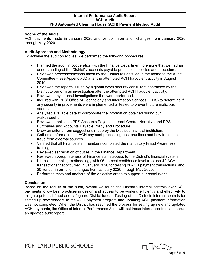#### **Scope of the Audit**

ACH payments made in January 2020 and vendor information changes from January 2020 through May 2020.

#### **Audit Approach and Methodology**

To achieve the audit objectives, we performed the following procedures:

- Planned the audit in cooperation with the Finance Department to ensure that we had an understanding of the District's accounts payable processes, policies and procedures.
- Reviewed processes/actions taken by the District (as detailed in the memo to the Audit Committee – see Appendix A) after the attempted ACH fraudulent activity in August 2019.
- Reviewed the reports issued by a global cyber security consultant contracted by the District to perform an investigation after the attempted ACH fraudulent activity.
- Reviewed any internal investigations that were performed.
- Inquired with PPS' Office of Technology and Information Services (OTIS) to determine if any security improvements were implemented or tested to prevent future malicious attempts.
- Analyzed available data to corroborate the information obtained during our walkthroughs.
- Reviewed applicable PPS Accounts Payable Internal Control Narrative and PPS Purchases and Accounts Payable Policy and Procedure.
- Drew on criteria from suggestions made by the District's financial institution.
- Gathered information on ACH payment processing best practices and how to combat fraud from external sources.
- Verified that all Finance staff members completed the mandatory Fraud Awareness training.
- Reviewed segregation of duties in the Finance Department.
- Reviewed appropriateness of Finance staff's access to the District's financial system.
- Utilized a sampling methodology with 95 percent confidence level to select 42 ACH transactions that occurred in January 2020 for testing of ACH payment transactions, and 20 vendor information changes from January 2020 through May 2020.
- Performed tests and analysis of the objective areas to support our conclusions.

#### **Conclusion**

Based on the results of the audit, overall we found the District's internal controls over ACH payments follow best practices in design and appear to be working efficiently and effectively to mitigate potential fraud and safeguard District funds. Testing of the Districts internal controls for setting up new vendors to the ACH payment program and updating ACH payment information was not completed. When the District has resumed the process for setting up new and updated ACH payments, the Office of Internal Performance Audit will test these internal controls and issue an updated audit report.

**Thata** Page **6** of **9**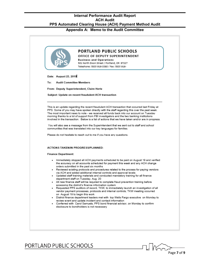**Appendix A: Memo to the Audit Committee**

|                                       | <b>PORTLAND PUBLIC SCHOOLS</b><br>OFFICE OF DEPUTY SUPERINTENDENT<br><b>Business and Operations</b><br>501 North Dixon Street / Portland, OR 97227<br>Telephone: (503) 916-3380 / Fax: (503) 916-                                                                                                                                                                                                                                                                                                                                                                                                                                                                                                                                                                                                                                                                                                                                                                       |
|---------------------------------------|-------------------------------------------------------------------------------------------------------------------------------------------------------------------------------------------------------------------------------------------------------------------------------------------------------------------------------------------------------------------------------------------------------------------------------------------------------------------------------------------------------------------------------------------------------------------------------------------------------------------------------------------------------------------------------------------------------------------------------------------------------------------------------------------------------------------------------------------------------------------------------------------------------------------------------------------------------------------------|
| Date: August 23, 2019                 |                                                                                                                                                                                                                                                                                                                                                                                                                                                                                                                                                                                                                                                                                                                                                                                                                                                                                                                                                                         |
| <b>Audit Committee Members</b><br>To: |                                                                                                                                                                                                                                                                                                                                                                                                                                                                                                                                                                                                                                                                                                                                                                                                                                                                                                                                                                         |
|                                       | From: Deputy Superintendent, Claire Hertz                                                                                                                                                                                                                                                                                                                                                                                                                                                                                                                                                                                                                                                                                                                                                                                                                                                                                                                               |
|                                       | Subject: Update on recent fraudulent ACH transaction                                                                                                                                                                                                                                                                                                                                                                                                                                                                                                                                                                                                                                                                                                                                                                                                                                                                                                                    |
|                                       | This is an update regarding the recent fraudulent ACH transaction that occurred last Friday at<br>PPS. Some of you may have spoken directly with the staff regarding this over the past week.<br>The most important news to note - we received all funds back into our account on Tuesday<br>morning thanks to a lot of support from FBI investigators and the two banking institutions<br>involved in the transaction. Below is a list of actions that we have taken and/or are in progress.<br>You will also see a message from the Superintendent that we sent out to staff and school<br>communities that was translated into our key languages for families.<br>Please do not hesitate to reach out to me if you have any questions.                                                                                                                                                                                                                               |
|                                       | <b>ACTIONS TAKEN/IN PROGRESS/PLANNED:</b>                                                                                                                                                                                                                                                                                                                                                                                                                                                                                                                                                                                                                                                                                                                                                                                                                                                                                                                               |
| <b>Finance Department:</b>            |                                                                                                                                                                                                                                                                                                                                                                                                                                                                                                                                                                                                                                                                                                                                                                                                                                                                                                                                                                         |
|                                       | Immediately stopped all ACH payments scheduled to be paid on August 19 and verified<br>the accuracy on all accounts scheduled for payment this week and any ACH change<br>orders submitted in the past six months<br>• Reviewed existing protocols and procedures related to the process for paying vendors<br>via ACH and added additional internal controls and approval levels<br>• Updated staff training materials and conducted mandatory training for all finance<br>department staff on Tuesday, Aug. 20<br>• All new finance staff will be required to complete fraud prevention training before<br>accessing the district's finance information system<br>Requested PPS auditors of record, TKW, to immediately launch an investigation of all<br>vendor payment processes, protocols and internal controls; TKW meeting occurred<br>on August 19 to begin this work<br>. District finance department leaders met with top Wells Fargo executive on Monday to |

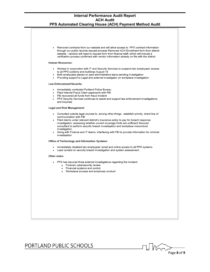Removed contracts from our website and will allow access to PPS contract information through our public records request process Removed ACH Enrollment form from district website - vendors will need to request form from finance staff, which will include a verification process confirmed with vendor information already on file with the district **Human Resources:** Worked in conjunction with IT and Security Services to suspend two employees' access to all PPS systems and buildings August 19 Both employees placed on paid administrative leave pending investigation Providing support to Legal and external investigator on workplace investigation Law Enforcement/Security: Immediately contacted Portland Police Bureau Filed Internet Fraud Claim paperwork with FBI FBI recovered all funds from fraud incident PPS Security Services continues to assist and support law enforcement investigations and inquiries Legal and Risk Management: · Consulted outside legal counsel to, among other things, establish priority, direct line of communication with FBI Filed claims under relevant district's insurance policy to pay for breach response investigation; assessing whether current coverage limits are sufficient Secured consultant to perform security breach investigation and workplace misconduct investigation Along with Finance and IT teams, interfacing with FBI to provide information for criminal investigation Office of Technology and Information Systems: Immediately disabled two employees' email and online access to all PPS systems Lead contact on security breach investigation and system assessment Other notes: · PPS has secured three external investigations regarding the incident: o Forensic cybersecurity review o Financial systems and control o Workplace process and employee conduct